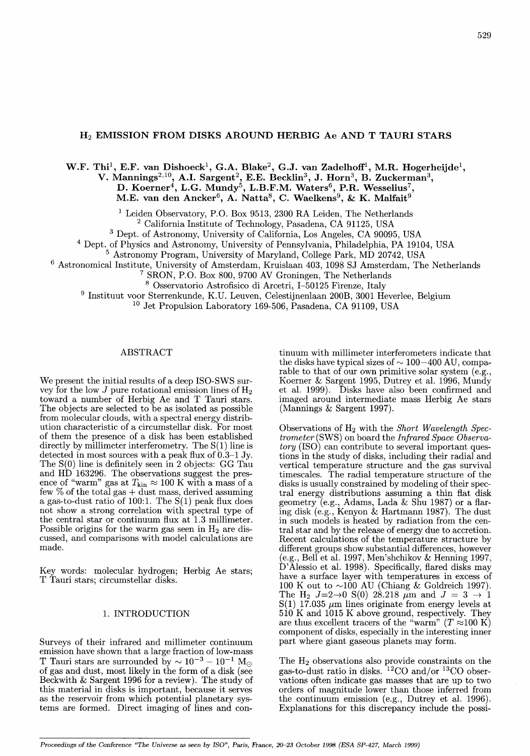# H<sub>2</sub> EMISSION FROM DISKS AROUND HERBIG Ae AND T TAURI STARS

# W.F. Thi<sup>1</sup>, E.F. van Dishoeck<sup>1</sup>, G.A. Blake<sup>2</sup>, G.J. van Zadelhoff<sup>1</sup>, M.R. Hogerheijde<sup>1</sup>, V. Mannings<sup>2,10</sup>, A.I. Sargent<sup>2</sup>, E.E. Becklin<sup>3</sup>, J. Horn<sup>3</sup>, B. Zuckerman<sup>3</sup>, D. Koerner<sup>4</sup>, L.G. Mundy<sup>5</sup>, L.B.F.M. Waters<sup>6</sup>, P.R. Wesselius<sup>7</sup>, M.E. van den Ancker $^6$ , A. Natta $^8$ , C. Waelkens $^9$ , & K. Malfait $^9$

<sup>1</sup> Leiden Observatory, P.O. Box 9513, 2300 RA Leiden, The Netherlands <sup>2</sup> California Institute of Technology, Pasadena, CA 91125, USA

3 Dept. of Astronomy, University of California, Los Angeles, CA 90095, USA

<sup>4</sup>Dept. of Physics and Astronomy, University of Pennsylvania, Philadelphia, PA 19104, USA

5 Astronomy Program, University of Maryland, College Park, MD 20742, USA

6 Astronomical Institute, University of Amsterdam, Kruislaan 403, 1098 SJ Amsterdam, The Netherlands

<sup>7</sup> SRON, P.O. Box 800, 9700 AV Groningen, The Netherlands

8 Osservatorio Astrofisico di Arcetri, 1-50125 Firenze, Italy

9 Instituut voor Sterrenkunde, K.U. Leuven, Celestijnenlaan 200B, 3001 Heverlee, Belgium

10 Jet Propulsion Laboratory 169-506, Pasadena, CA 91109, USA

## ABSTRACT

We present the initial results of a deep ISO-SWS survey for the low  $J$  pure rotational emission lines of  $H_2$ toward a number of Herbig Ae and T Tauri stars. The objects are selected to be as isolated as possible from molecular clouds, with a spectral energy distribution characteristic of a circumstellar disk. For most of them the presence of a disk has been established directly by millimeter interferometry. The  $S(1)$  line is detected in most sources with a peak flux of  $0.3-1$  Jy. The S(O) line is definitely seen in 2 objects: GG Tau and HD 163296. The observations suggest the presence of "warm" gas at  $T_{\rm kin} \approx 100$  K with a mass of a few  $%$  of the total gas  $+$  dust mass, derived assuming a gas-to-dust ratio of 100:1. The S(1) peak flux does not show a strong correlation with spectral type of the central star or continuum flux at 1.3 millimeter. Possible origins for the warm gas seen in  $H_2$  are discussed, and comparisons with model calculations are made.

Key words: molecular hydrogen; Herbig Ae stars; T Tauri stars; circumstellar disks.

# 1. INTRODUCTION

Surveys of their infrared and millimeter continuum emission have shown that a large fraction of low-mass T Tauri stars are surrounded by  $\sim 10^{-3} - 10^{-1}$  M<sub>o</sub> of gas and dust, most likely in the form of a disk (see Beckwith & Sargent 1996 for a review). The study of this material in disks is important, because it serves as the reservoir from which potential planetary systems are formed. Direct imaging of lines and continuum with millimeter interferometers indicate that the disks have typical sizes of  $\sim$  100 $-400$  AU, comparable to that of our own primitive solar system (e.g., Koerner & Sargent 1995, Dutrey et al. 1996, Mundy et al. 1999). Disks have also been confirmed and imaged around intermediate mass Herbig Ae stars (Mannings  $&$  Sargent 1997).

Observations of H2 with the *Short Wavelength Spectrometer* (SWS) on board the *Infrared Space Observatory* (ISO) can contribute to several important questions in the study of disks, including their radial and vertical temperature structure and the gas survival timescales. The radial temperature structure of the disks is usually constrained by modeling of their spectral energy distributions assuming a thin fiat disk geometry (e.g., Adams, Lada & Shu 1987) or a flaring disk (e.g., Kenyon & Hartmann 1987). The dust in such models is heated by radiation from the central star and by the release of energy due to accretion. Recent calculations of the temperature structure by different groups show substantial differences, however (e.g., Bell et al. 1997, Men'shchikov & Henning 1997,  $\hat{D}$ <sup>'</sup>Alessio et al. 1998). Specifically, flared disks may have a surface layer with temperatures in excess of 100 K out to  $\sim$ 100 AU (Chiang & Goldreich 1997). The H<sub>2</sub>  $J=2\rightarrow 0$  S(0) 28.218  $\mu$ m and  $J = 3 \rightarrow 1$  $S(1)$  17.035  $\mu$ m lines originate from energy levels at 510 K and 1015 K above ground, respectively. They are thus excellent tracers of the "warm"  $(T \approx 100 \text{ K})$ component of disks, especially in the interesting inner part where giant gaseous planets may form.

The  $H_2$  observations also provide constraints on the gas-to-dust ratio in disks. 12CO and/or 13CO observations often indicate gas masses that are up to two orders of magnitude lower than those inferred from the continuum emission (e.g., Dutrey et al. 1996). Explanations for this discrepancy include the possi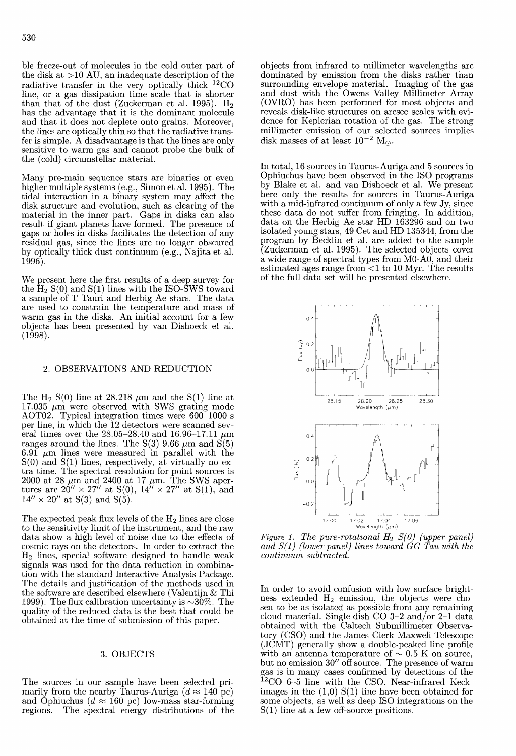ble freeze-out of molecules in the cold outer part of the disk at >10 AU, an inadequate description of the radiative transfer in the very optically thick 12CO line, or a gas dissipation time scale that is shorter than that of the dust (Zuckerman et al. 1995).  $H_2$ has the advantage that it is the dominant molecule and that it does not deplete onto grains. Moreover, the lines are optically thin so that the radiative transfer is simple. A disadvantage is that the lines are only sensitive to warm gas and cannot probe the bulk of the (cold) circumstellar material.

Many pre-main sequence stars are binaries or even higher multiple systems (e.g., Simonet al. 1995). The tidal interaction in a binary system may affect the disk structure and evolution, such as clearing of the material in the inner part. Gaps in disks can also result if giant planets have formed. The presence of gaps or holes in disks facilitates the detection of any residual gas, since the lines are no longer obscured by optically thick dust continuum (e.g., Najita et al. 1996).

We present here the first results of a deep survey for the  $H_2 S(0)$  and  $S(1)$  lines with the ISO-SWS toward a sample of T Tauri and Herbig Ae stars. The data are used to constrain the temperature and mass of warm gas in the disks. An initial account for a few objects has been presented by van Dishoeck et al. (1998).

#### 2. OBSERVATIONS AND REDUCTION

The H<sub>2</sub> S(0) line at 28.218  $\mu$ m and the S(1) line at  $17.035 \mu m$  were observed with SWS grating mode AOT02. Typical integration times were 600-1000 s per line, in which the 12 detectors were scanned several times over the  $28.05-28.40$  and  $16.96-17.11 \mu$ m ranges around the lines. The  $S(3)$  9.66  $\mu$ m and  $S(5)$ . 6.91  $\mu$ m lines were measured in parallel with the  $S(0)$  and  $S(1)$  lines, respectively, at virtually no extra time. The spectral resolution for point sources is 2000 at 28  $\mu$ m and 2400 at 17  $\mu$ m. The SWS apertures are  $20'' \times 27''$  at S(0),  $14'' \times 27''$  at S(1), and  $14'' \times 20''$  at S(3) and S(5).

The expected peak flux levels of the  $H_2$  lines are close to the sensitivity limit of the instrument, and the raw data show a high level of noise due to the effects of cosmic rays on the detectors. In order to extract the H2 lines, special software designed to handle weak signals was used for the data reduction in combination with the standard Interactive Analysis Package. The details and justification of the methods used in the software are described elsewhere (Valentijn & Thi 1999). The flux calibration uncertainty is  $\sim$ 30%. The quality of the reduced data is the best that could be obtained at the time of submission of this paper.

#### 3. OBJECTS

The sources in our sample have been selected primarily from the nearby Taurus-Auriga  $(d \approx 140 \text{ pc})$ and Ophiuchus ( $d \approx 160$  pc) low-mass star-forming regions. The spectral energy distributions of the objects from infrared to millimeter wavelengths are dominated by emission from the disks rather than surrounding envelope material. Imaging of the gas and dust with the Owens Valley Millimeter Array (OVRO) has been performed for most objects and reveals disk-like structures on arcsec scales with evidence for Keplerian rotation of the gas. The strong millimeter emission of our selected sources implies disk masses of at least  $10^{-2}$  M<sub> $\odot$ </sub>.

In total, 16 sources in Taurus-Auriga and 5 sources in Ophiuchus have been observed in the ISO programs by Blake et al. and van Dishoeck et al. We present here only the results for sources in Taurus-Auriga with a mid-infrared continuum of only a few Jy, since these data do not suffer from fringing. In addition, data on the Herbig Ae star HD 163296 and on two isolated young stars, 49 Cet and HD 135344, from the program by Becklin et al. are added to the sample (Zuckerman et al. 1995). The selected objects cover a wide range of spectral types from MO-AO, and their estimated ages range from <1 to 10 Myr. The results of the full data set will be presented elsewhere.



*Figure 1. The pure-rotational*  $H_2$   $S(0)$  (upper panel) *and S{l) (lower panel) lines toward GG Tau with the continuum subtracted.* 

In order to avoid confusion with low surface brightness extended  $H_2$  emission, the objects were chosen to be as isolated as possible from any remaining cloud material. Single dish CO  $3-2$  and/or  $2-1$  data obtained with the Caltech Submillimeter Observatory (CSO) and the James Clerk Maxwell Telescope (JCMT) generally show a double-peaked line profile with an antenna temperature of  $\sim 0.5$  K on source, but no emission 30" off source. The presence of warm gas is in many cases confirmed by detections of the  $12$ CO 6-5 line with the CSO. Near-infrared Keckimages in the  $(1,0)$  S $(1)$  line have been obtained for some objects, as well as deep ISO integrations on the S(1) line at a few off-source positions.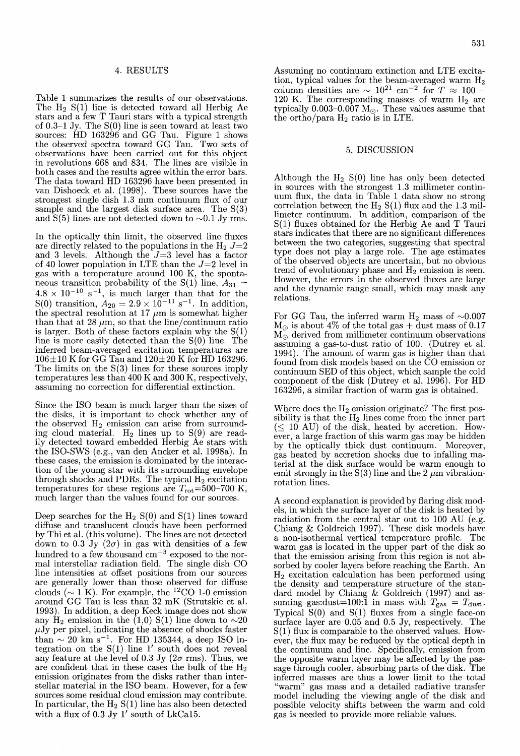#### 4. RESULTS

Table 1 summarizes the results of our observations. The  $H_2$  S(1) line is detected toward all Herbig Ae stars and a few T Tauri stars with a typical strength of 0.3-1 Jy. The S(O) line is seen toward at least two sources: HD 163296 and GG Tau. Figure 1 shows the observed spectra toward GG Tau. Two sets of observations have been carried out for this object in revolutions 668 and 834. The lines are visible in both cases and the results agree within the error bars. The data toward HD 163296 have been presented in van Dishoeck et al. ( 1998). These sources have the strongest single dish 1.3 mm continuum flux of our sample and the largest disk surface area. The  $S(3)$ and  $S(5)$  lines are not detected down to  $\sim 0.1$  Jy rms.

In the optically thin limit, the observed line fluxes are directly related to the populations in the  $H_2$   $J=2$ and 3 levels. Although the  $J=3$  level has a factor of 40 lower population in LTE than the  $J=2$  level in gas with a temperature around 100 K, the spontaneous transition probability of the S(1) line,  $A_{31}$  =  $4.8 \times 10^{-10}$  s<sup>-1</sup>, is much larger than that for the S(0) transition,  $A_{20} = 2.9 \times 10^{-11} \text{ s}^{-1}$ . In addition, the spectral resolution at 17  $\mu$ m is somewhat higher than that at 28  $\mu$ m, so that the line/continuum ratio is larger. Both of these factors explain why the  $S(1)$ line is more easily detected than the S(O) line. The inferred beam-averaged excitation temperatures are  $106\pm10$  K for GG Tau and  $120\pm20$  K for HD 163296. The limits on the  $S(3)$  lines for these sources imply temperatures less than 400 K and 300 K, respectively, assuming no correction for differential extinction.

Since the ISO beam is much larger than the sizes of the disks, it is important to check whether any of the observed  $H_2$  emission can arise from surrounding cloud material.  $H_2$  lines up to  $S(9)$  are readily detected toward embedded Herbig  $Ae$  stars with the ISO-SWS (e.g., van den Ancker et al. 1998a). In these cases, the emission is dominated by the interaction of the young star with its surrounding envelope through shocks and PDRs. The typical  $H_2$  excitation temperatures for these regions are  $T_{\text{rot}}$ =500-700 K, much larger than the values found for our sources.

Deep searches for the  $H_2 S(0)$  and  $S(1)$  lines toward diffuse and translucent clouds have been performed by Thi et al. (this volume). The lines are not detected down to 0.3 Jy  $(2\sigma)$  in gas with densities of a few hundred to a few thousand  $cm^{-3}$  exposed to the normal interstellar radiation field. The single dish CO line intensities at offset positions from our sources are generally lower than those observed for diffuse clouds ( $\sim$  1 K). For example, the <sup>12</sup>CO 1-0 emission around GG Tau is less than 32 mK (Strutskie et al. 1993). In addition, a deep Keck image does not show any H<sub>2</sub> emission in the (1,0) S(1) line down to  $\sim$ 20  $\mu$ Jy per pixel, indicating the absence of shocks faster  $\tan \sim 20 \text{ km s}^{-1}$ . For HD 135344, a deep ISO integration on the  $S(1)$  line 1' south does not reveal any feature at the level of 0.3 Jy ( $2\sigma$  rms). Thus, we are confident that in these cases the bulk of the  $H_2$ emission originates from the disks rather than interstellar material in the ISO beam. However, for a few sources some residual cloud emission may contribute. In particular, the  $H_2 S(1)$  line has also been detected with a flux of 0.3 Jy 1' south of LkCa15.

Assuming no continuum extinction and LTE excitation, typical values for the beam-averaged warm  $H_2$ column densities are  $\sim 10^{21}$  cm<sup>-2</sup> for T  $\approx 100$  -120 K. The corresponding masses of warm  $H_2$  are typically 0.003–0.007  $\rm M_{\odot}.$  These values assume that the ortho/para  $H_2$  ratio is in LTE.

### 5. DISCUSSION

Although the  $H_2 S(0)$  line has only been detected in sources with the strongest 1.3 millimeter continuum flux, the data in Table 1 data show no strong correlation between the  $H_2 S(1)$  flux and the 1.3 millimeter continuum. In addition, comparison of the S(1) fluxes obtained for the Herbig Ae and T Tauri stars indicates that there are no significant differences between the two categories, suggesting that spectral type does not play a large role. The age estimates of the observed objects are uncertain, but no obvious trend of evolutionary phase and  $H_2$  emission is seen. However, the errors in the observed fluxes are large and the dynamic range small, which may mask any relations.

For GG Tau, the inferred warm  $H_2$  mass of  $\sim 0.007$  $M_{\odot}$  is about 4% of the total gas + dust mass of 0.17  $M_{\odot}$  derived from millimeter continuum observations assuming a gas-to-dust ratio of 100. (Dutrey et al. 1994). The amount of warm gas is higher than that found from disk models based on the CO emission or continuum SED of this object, which sample the cold component of the disk (Dutrey et al. 1996). For HD 163296, a similar fraction of warm gas is obtained.

Where does the  $H_2$  emission originate? The first possibility is that the  $H_2$  lines come from the inner part  $(\leq 10$  AU) of the disk, heated by accretion. However, a large fraction of this warm gas may be hidden by the optically thick dust continuum. Moreover, gas heated by accretion shocks due to infalling material at the disk surface would be warm enough to emit strongly in the  $S(3)$  line and the 2  $\mu$ m vibrationrotation lines.

A second explanation is provided by flaring disk models, in which the surface layer of the disk is heated by radiation from the central star out to 100 AU (e.g. Chiang & Goldreich 1997). These disk models have a non-isothermal vertical temperature profile. The warm gas is located in the upper part of the disk so that the emission arising from this region is not absorbed by cooler layers before reaching the Earth. An  $H<sub>2</sub>$  excitation calculation has been performed using the density and temperature structure of the standard model by Chiang & Goldreich (1997) and assuming gas:dust=100:1 in mass with  $T_{\text{gas}} = T_{\text{dust}}$ . Typical  $S(0)$  and  $S(1)$  fluxes from a single face-on surface layer are 0.05 and 0.5 Jy, respectively. The S(1) flux is comparable to the observed values. However, the flux may be reduced by the optical depth in the continuum and line. Specifically, emission from the opposite warm layer may be affected by the passage through cooler, absorbing parts of the disk. The inferred masses are thus a lower limit to the total "warm" gas mass and a detailed radiative transfer model including the viewing angle of the disk and possible velocity shifts between the warm and cold gas is needed to provide more reliable values.